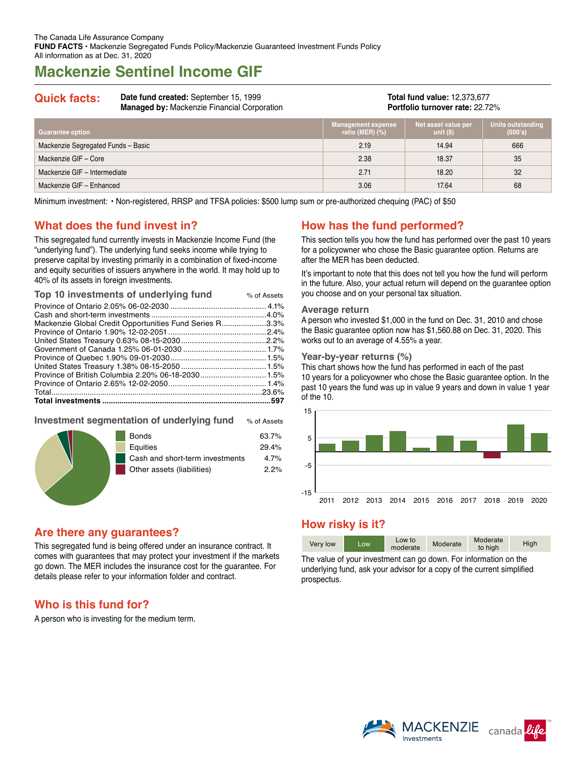# **Mackenzie Sentinel Income GIF**

**Quick facts: Date fund created:** September 15, 1999 **Managed by:** Mackenzie Financial Corporation

**Total fund value:** 12,373,677 **Portfolio turnover rate:** 22.72%

| <b>Guarantee option</b>            | <b>Management expense</b><br>ratio (MER) $(\%)$ | Net asset value per<br>unit $(S)$ | Units outstanding<br>(000's) |
|------------------------------------|-------------------------------------------------|-----------------------------------|------------------------------|
| Mackenzie Segregated Funds - Basic | 2.19                                            | 14.94                             | 666                          |
| Mackenzie GIF - Core               | 2.38                                            | 18.37                             | 35                           |
| Mackenzie GIF - Intermediate       | 2.71                                            | 18.20                             | 32                           |
| Mackenzie GIF - Enhanced           | 3.06                                            | 17.64                             | 68                           |

Minimum investment: • Non-registered, RRSP and TFSA policies: \$500 lump sum or pre-authorized chequing (PAC) of \$50

# **What does the fund invest in?**

This segregated fund currently invests in Mackenzie Income Fund (the "underlying fund"). The underlying fund seeks income while trying to preserve capital by investing primarily in a combination of fixed-income and equity securities of issuers anywhere in the world. It may hold up to 40% of its assets in foreign investments.

| Top 10 investments of underlying fund                   | % of Assets |
|---------------------------------------------------------|-------------|
|                                                         |             |
|                                                         |             |
| Mackenzie Global Credit Opportunities Fund Series R3.3% |             |
|                                                         |             |
|                                                         |             |
|                                                         |             |
|                                                         |             |
|                                                         |             |
|                                                         |             |
|                                                         |             |
|                                                         |             |
|                                                         |             |
|                                                         |             |

### **Investment segmentation of underlying fund** % of Assets



# **Are there any guarantees?**

This segregated fund is being offered under an insurance contract. It comes with guarantees that may protect your investment if the markets go down. The MER includes the insurance cost for the guarantee. For details please refer to your information folder and contract.

# **Who is this fund for?**

A person who is investing for the medium term.

# **How has the fund performed?**

This section tells you how the fund has performed over the past 10 years for a policyowner who chose the Basic guarantee option. Returns are after the MER has been deducted.

It's important to note that this does not tell you how the fund will perform in the future. Also, your actual return will depend on the guarantee option you choose and on your personal tax situation.

#### **Average return**

A person who invested \$1,000 in the fund on Dec. 31, 2010 and chose the Basic guarantee option now has \$1,560.88 on Dec. 31, 2020. This works out to an average of 4.55% a year.

#### **Year-by-year returns (%)**

This chart shows how the fund has performed in each of the past 10 years for a policyowner who chose the Basic guarantee option. In the past 10 years the fund was up in value 9 years and down in value 1 year of the 10.



# **How risky is it?**

| Very low | LOW. | Low to<br>moderate | Moderate | Moderate<br>to high | High |
|----------|------|--------------------|----------|---------------------|------|

The value of your investment can go down. For information on the underlying fund, ask your advisor for a copy of the current simplified prospectus.